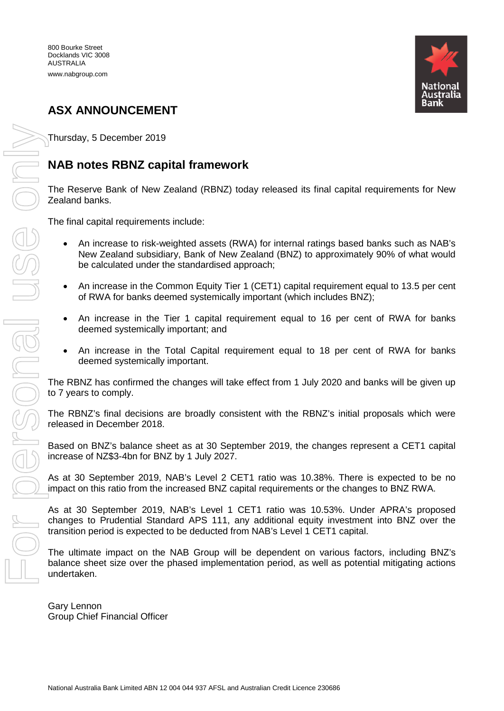

# **ASX ANNOUNCEMENT**

Thursday, 5 December 2019

## **NAB notes RBNZ capital framework**

The Reserve Bank of New Zealand (RBNZ) today released its final capital requirements for New Zealand banks.

The final capital requirements include:

- An increase to risk-weighted assets (RWA) for internal ratings based banks such as NAB's New Zealand subsidiary, Bank of New Zealand (BNZ) to approximately 90% of what would be calculated under the standardised approach;
- An increase in the Common Equity Tier 1 (CET1) capital requirement equal to 13.5 per cent of RWA for banks deemed systemically important (which includes BNZ);
- An increase in the Tier 1 capital requirement equal to 16 per cent of RWA for banks deemed systemically important; and
- An increase in the Total Capital requirement equal to 18 per cent of RWA for banks deemed systemically important.

The RBNZ has confirmed the changes will take effect from 1 July 2020 and banks will be given up to 7 years to comply.

The RBNZ's final decisions are broadly consistent with the RBNZ's initial proposals which were released in December 2018.

Based on BNZ's balance sheet as at 30 September 2019, the changes represent a CET1 capital increase of NZ\$3-4bn for BNZ by 1 July 2027.

As at 30 September 2019, NAB's Level 2 CET1 ratio was 10.38%. There is expected to be no impact on this ratio from the increased BNZ capital requirements or the changes to BNZ RWA.

As at 30 September 2019, NAB's Level 1 CET1 ratio was 10.53%. Under APRA's proposed changes to Prudential Standard APS 111, any additional equity investment into BNZ over the transition period is expected to be deducted from NAB's Level 1 CET1 capital.

The ultimate impact on the NAB Group will be dependent on various factors, including BNZ's balance sheet size over the phased implementation period, as well as potential mitigating actions undertaken.

Gary Lennon